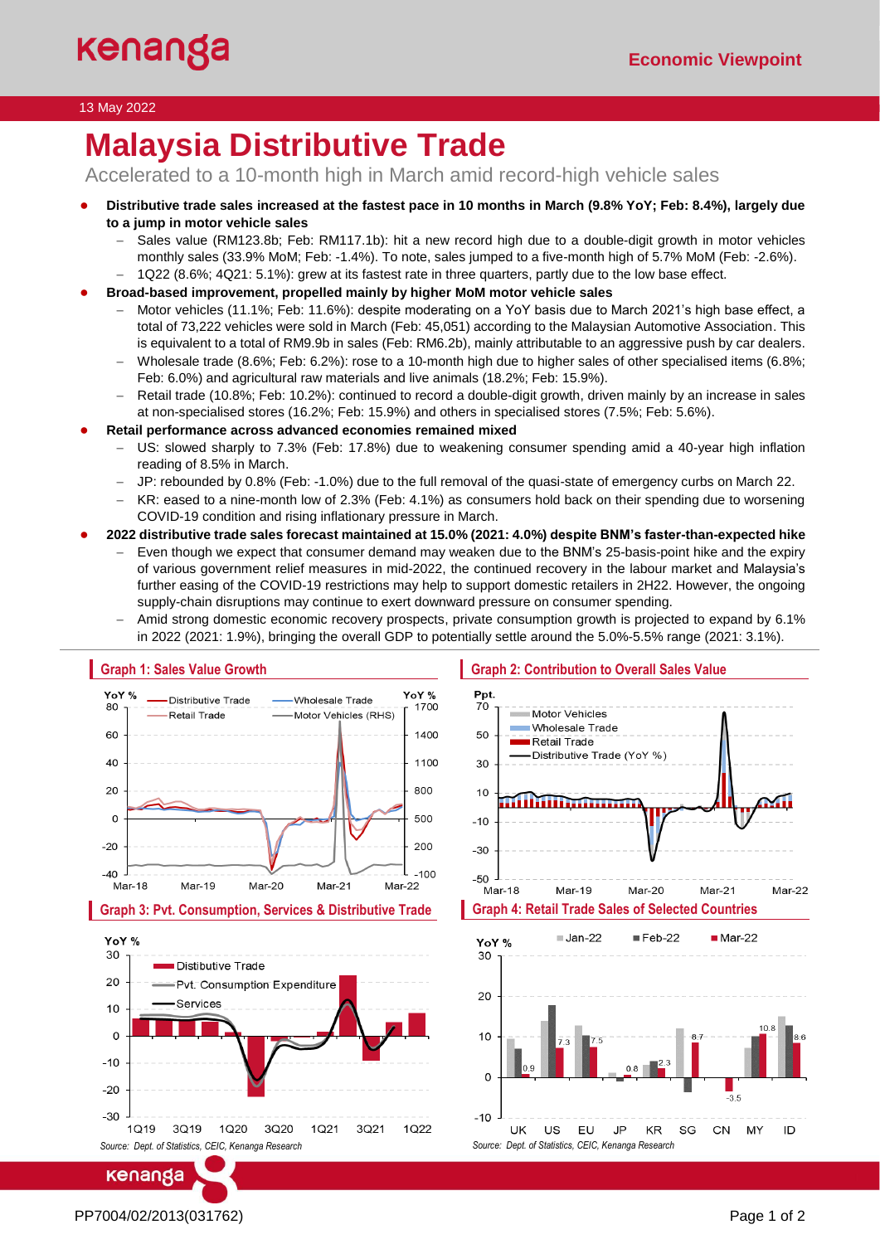### 13 May 2022

# **Malaysia Distributive Trade**

Accelerated to a 10-month high in March amid record-high vehicle sales

- **Distributive trade sales increased at the fastest pace in 10 months in March (9.8% YoY; Feb: 8.4%), largely due to a jump in motor vehicle sales**
	- − Sales value (RM123.8b; Feb: RM117.1b): hit a new record high due to a double-digit growth in motor vehicles monthly sales (33.9% MoM; Feb: -1.4%). To note, sales jumped to a five-month high of 5.7% MoM (Feb: -2.6%).
	- − 1Q22 (8.6%; 4Q21: 5.1%): grew at its fastest rate in three quarters, partly due to the low base effect.
- **Broad-based improvement, propelled mainly by higher MoM motor vehicle sales**
	- − Motor vehicles (11.1%; Feb: 11.6%): despite moderating on a YoY basis due to March 2021's high base effect, a total of 73,222 vehicles were sold in March (Feb: 45,051) according to the Malaysian Automotive Association. This is equivalent to a total of RM9.9b in sales (Feb: RM6.2b), mainly attributable to an aggressive push by car dealers.
	- − Wholesale trade (8.6%; Feb: 6.2%): rose to a 10-month high due to higher sales of other specialised items (6.8%; Feb: 6.0%) and agricultural raw materials and live animals (18.2%; Feb: 15.9%).
	- − Retail trade (10.8%; Feb: 10.2%): continued to record a double-digit growth, driven mainly by an increase in sales at non-specialised stores (16.2%; Feb: 15.9%) and others in specialised stores (7.5%; Feb: 5.6%).

● **Retail performance across advanced economies remained mixed**

- US: slowed sharply to 7.3% (Feb: 17.8%) due to weakening consumer spending amid a 40-year high inflation reading of 8.5% in March.
- − JP: rebounded by 0.8% (Feb: -1.0%) due to the full removal of the quasi-state of emergency curbs on March 22.
- − KR: eased to a nine-month low of 2.3% (Feb: 4.1%) as consumers hold back on their spending due to worsening COVID-19 condition and rising inflationary pressure in March.
- **2022 distributive trade sales forecast maintained at 15.0% (2021: 4.0%) despite BNM's faster-than-expected hike**
	- − Even though we expect that consumer demand may weaken due to the BNM's 25-basis-point hike and the expiry of various government relief measures in mid-2022, the continued recovery in the labour market and Malaysia's further easing of the COVID-19 restrictions may help to support domestic retailers in 2H22. However, the ongoing supply-chain disruptions may continue to exert downward pressure on consumer spending.
	- − Amid strong domestic economic recovery prospects, private consumption growth is projected to expand by 6.1% in 2022 (2021: 1.9%), bringing the overall GDP to potentially settle around the 5.0%-5.5% range (2021: 3.1%).







PP7004/02/2013(031762) Page 1 of 2